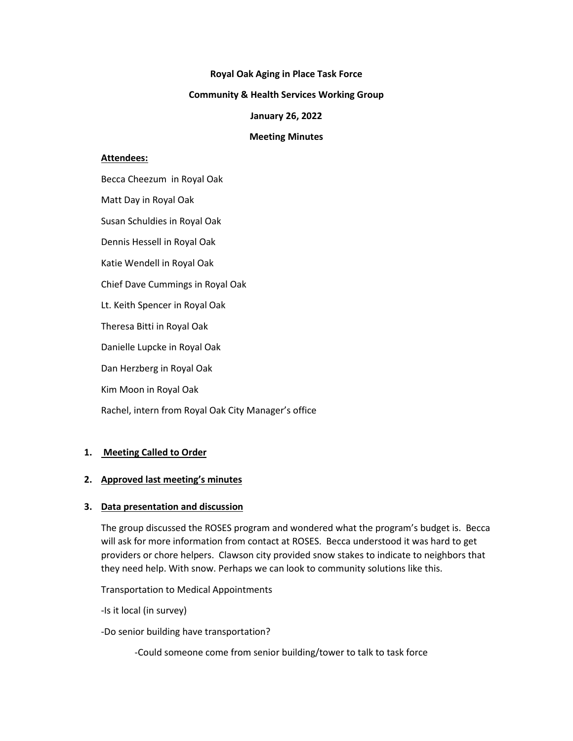#### **Royal Oak Aging in Place Task Force**

#### **Community & Health Services Working Group**

#### **January 26, 2022**

#### **Meeting Minutes**

#### **Attendees:**

Becca Cheezum in Royal Oak Matt Day in Royal Oak Susan Schuldies in Royal Oak Dennis Hessell in Royal Oak Katie Wendell in Royal Oak Chief Dave Cummings in Royal Oak Lt. Keith Spencer in Royal Oak Theresa Bitti in Royal Oak Danielle Lupcke in Royal Oak Dan Herzberg in Royal Oak Kim Moon in Royal Oak

Rachel, intern from Royal Oak City Manager's office

# **1. Meeting Called to Order**

# **2. Approved last meeting's minutes**

# **3. Data presentation and discussion**

The group discussed the ROSES program and wondered what the program's budget is. Becca will ask for more information from contact at ROSES. Becca understood it was hard to get providers or chore helpers. Clawson city provided snow stakes to indicate to neighbors that they need help. With snow. Perhaps we can look to community solutions like this.

Transportation to Medical Appointments

-Is it local (in survey)

-Do senior building have transportation?

-Could someone come from senior building/tower to talk to task force